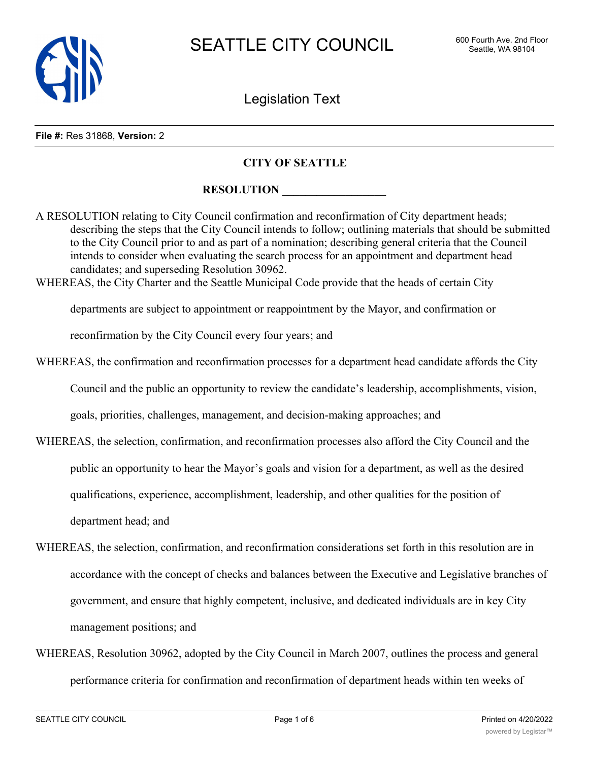

Legislation Text

### **File #:** Res 31868, **Version:** 2

# **CITY OF SEATTLE**

# **RESOLUTION**

A RESOLUTION relating to City Council confirmation and reconfirmation of City department heads; describing the steps that the City Council intends to follow; outlining materials that should be submitted to the City Council prior to and as part of a nomination; describing general criteria that the Council intends to consider when evaluating the search process for an appointment and department head candidates; and superseding Resolution 30962.

WHEREAS, the City Charter and the Seattle Municipal Code provide that the heads of certain City

departments are subject to appointment or reappointment by the Mayor, and confirmation or

reconfirmation by the City Council every four years; and

WHEREAS, the confirmation and reconfirmation processes for a department head candidate affords the City

Council and the public an opportunity to review the candidate's leadership, accomplishments, vision,

goals, priorities, challenges, management, and decision-making approaches; and

- WHEREAS, the selection, confirmation, and reconfirmation processes also afford the City Council and the public an opportunity to hear the Mayor's goals and vision for a department, as well as the desired qualifications, experience, accomplishment, leadership, and other qualities for the position of department head; and
- WHEREAS, the selection, confirmation, and reconfirmation considerations set forth in this resolution are in accordance with the concept of checks and balances between the Executive and Legislative branches of government, and ensure that highly competent, inclusive, and dedicated individuals are in key City management positions; and
- WHEREAS, Resolution 30962, adopted by the City Council in March 2007, outlines the process and general performance criteria for confirmation and reconfirmation of department heads within ten weeks of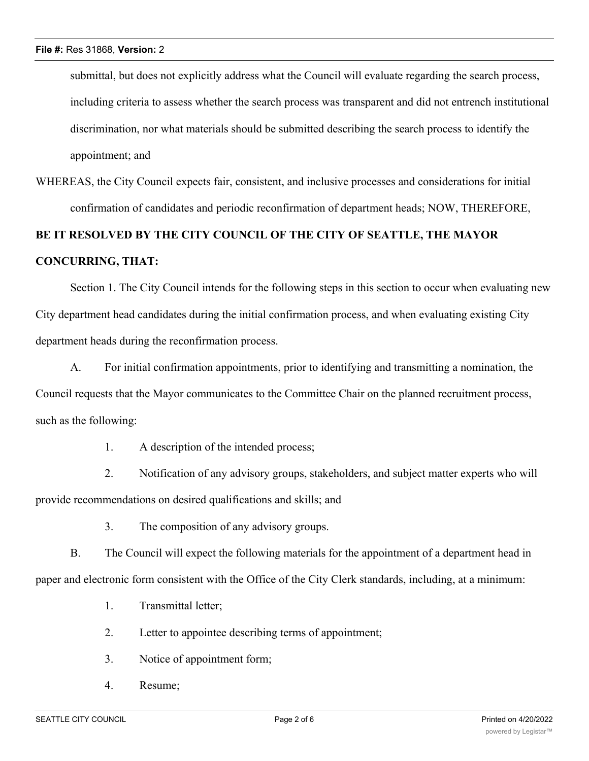submittal, but does not explicitly address what the Council will evaluate regarding the search process, including criteria to assess whether the search process was transparent and did not entrench institutional discrimination, nor what materials should be submitted describing the search process to identify the appointment; and

WHEREAS, the City Council expects fair, consistent, and inclusive processes and considerations for initial confirmation of candidates and periodic reconfirmation of department heads; NOW, THEREFORE,

# **BE IT RESOLVED BY THE CITY COUNCIL OF THE CITY OF SEATTLE, THE MAYOR CONCURRING, THAT:**

Section 1. The City Council intends for the following steps in this section to occur when evaluating new City department head candidates during the initial confirmation process, and when evaluating existing City department heads during the reconfirmation process.

A. For initial confirmation appointments, prior to identifying and transmitting a nomination, the Council requests that the Mayor communicates to the Committee Chair on the planned recruitment process, such as the following:

1. A description of the intended process;

2. Notification of any advisory groups, stakeholders, and subject matter experts who will provide recommendations on desired qualifications and skills; and

3. The composition of any advisory groups.

B. The Council will expect the following materials for the appointment of a department head in paper and electronic form consistent with the Office of the City Clerk standards, including, at a minimum:

- 1. Transmittal letter;
- 2. Letter to appointee describing terms of appointment;
- 3. Notice of appointment form;
- 4. Resume;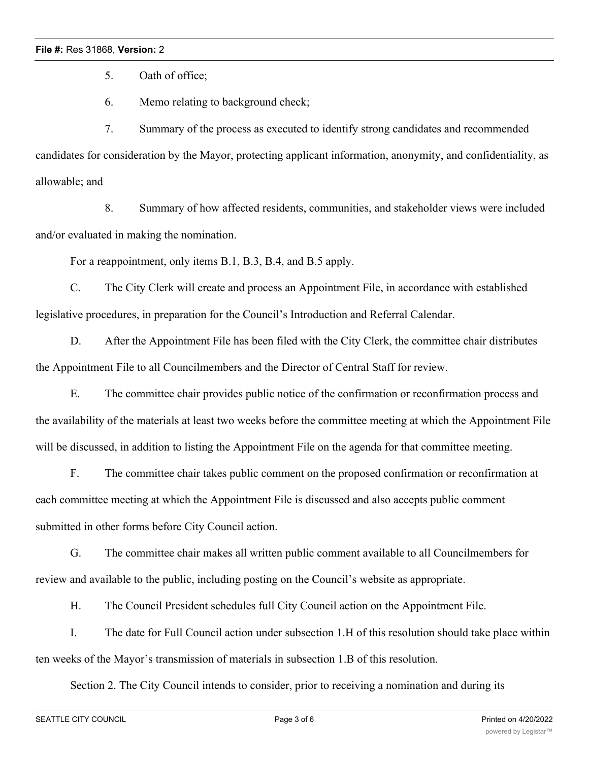## **File #:** Res 31868, **Version:** 2

5. Oath of office;

6. Memo relating to background check;

7. Summary of the process as executed to identify strong candidates and recommended candidates for consideration by the Mayor, protecting applicant information, anonymity, and confidentiality, as allowable; and

8. Summary of how affected residents, communities, and stakeholder views were included and/or evaluated in making the nomination.

For a reappointment, only items B.1, B.3, B.4, and B.5 apply.

C. The City Clerk will create and process an Appointment File, in accordance with established legislative procedures, in preparation for the Council's Introduction and Referral Calendar.

D. After the Appointment File has been filed with the City Clerk, the committee chair distributes the Appointment File to all Councilmembers and the Director of Central Staff for review.

E. The committee chair provides public notice of the confirmation or reconfirmation process and the availability of the materials at least two weeks before the committee meeting at which the Appointment File will be discussed, in addition to listing the Appointment File on the agenda for that committee meeting.

F. The committee chair takes public comment on the proposed confirmation or reconfirmation at each committee meeting at which the Appointment File is discussed and also accepts public comment submitted in other forms before City Council action.

G. The committee chair makes all written public comment available to all Councilmembers for review and available to the public, including posting on the Council's website as appropriate.

H. The Council President schedules full City Council action on the Appointment File.

I. The date for Full Council action under subsection 1.H of this resolution should take place within ten weeks of the Mayor's transmission of materials in subsection 1.B of this resolution.

Section 2. The City Council intends to consider, prior to receiving a nomination and during its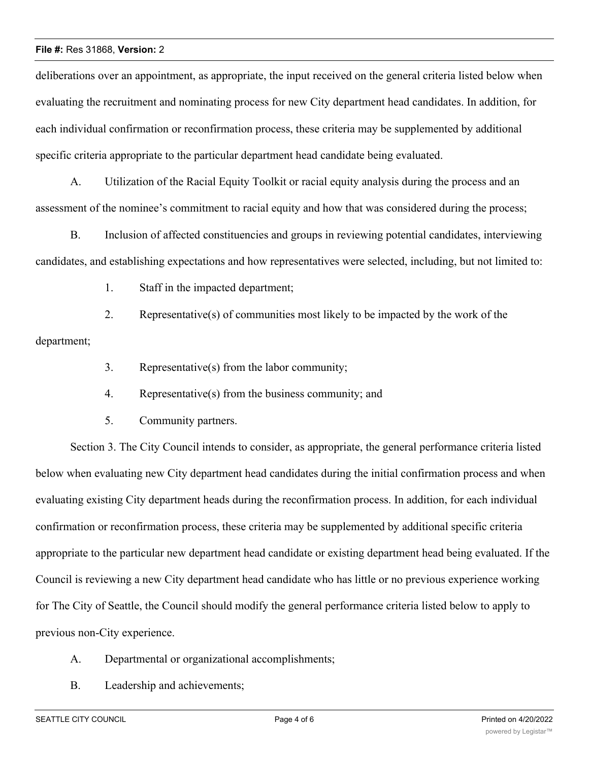### **File #:** Res 31868, **Version:** 2

deliberations over an appointment, as appropriate, the input received on the general criteria listed below when evaluating the recruitment and nominating process for new City department head candidates. In addition, for each individual confirmation or reconfirmation process, these criteria may be supplemented by additional specific criteria appropriate to the particular department head candidate being evaluated.

A. Utilization of the Racial Equity Toolkit or racial equity analysis during the process and an assessment of the nominee's commitment to racial equity and how that was considered during the process;

B. Inclusion of affected constituencies and groups in reviewing potential candidates, interviewing candidates, and establishing expectations and how representatives were selected, including, but not limited to:

1. Staff in the impacted department;

2. Representative(s) of communities most likely to be impacted by the work of the department;

- 3. Representative(s) from the labor community;
- 4. Representative(s) from the business community; and
- 5. Community partners.

Section 3. The City Council intends to consider, as appropriate, the general performance criteria listed below when evaluating new City department head candidates during the initial confirmation process and when evaluating existing City department heads during the reconfirmation process. In addition, for each individual confirmation or reconfirmation process, these criteria may be supplemented by additional specific criteria appropriate to the particular new department head candidate or existing department head being evaluated. If the Council is reviewing a new City department head candidate who has little or no previous experience working for The City of Seattle, the Council should modify the general performance criteria listed below to apply to previous non-City experience.

- A. Departmental or organizational accomplishments;
- B. Leadership and achievements;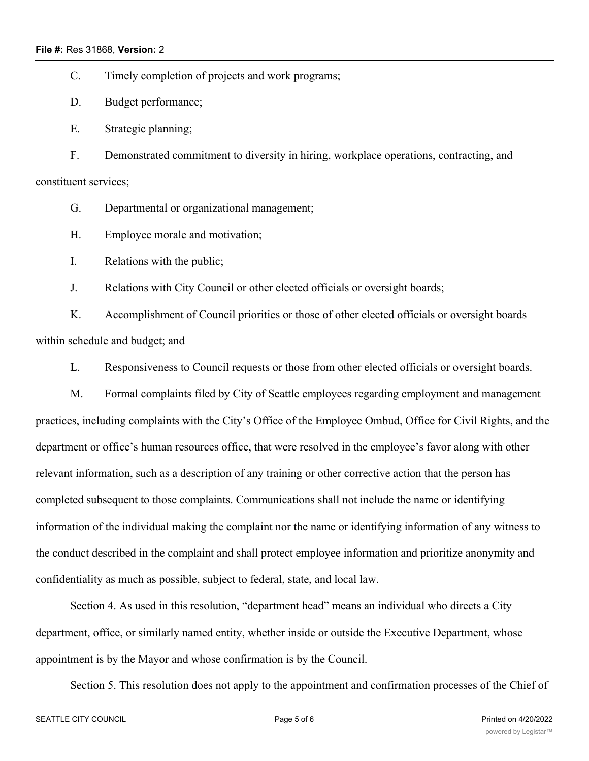C. Timely completion of projects and work programs;

D. Budget performance;

E. Strategic planning;

F. Demonstrated commitment to diversity in hiring, workplace operations, contracting, and constituent services;

G. Departmental or organizational management;

H. Employee morale and motivation;

I. Relations with the public;

J. Relations with City Council or other elected officials or oversight boards;

K. Accomplishment of Council priorities or those of other elected officials or oversight boards within schedule and budget; and

L. Responsiveness to Council requests or those from other elected officials or oversight boards.

M. Formal complaints filed by City of Seattle employees regarding employment and management practices, including complaints with the City's Office of the Employee Ombud, Office for Civil Rights, and the department or office's human resources office, that were resolved in the employee's favor along with other relevant information, such as a description of any training or other corrective action that the person has completed subsequent to those complaints. Communications shall not include the name or identifying information of the individual making the complaint nor the name or identifying information of any witness to the conduct described in the complaint and shall protect employee information and prioritize anonymity and confidentiality as much as possible, subject to federal, state, and local law.

Section 4. As used in this resolution, "department head" means an individual who directs a City department, office, or similarly named entity, whether inside or outside the Executive Department, whose appointment is by the Mayor and whose confirmation is by the Council.

Section 5. This resolution does not apply to the appointment and confirmation processes of the Chief of